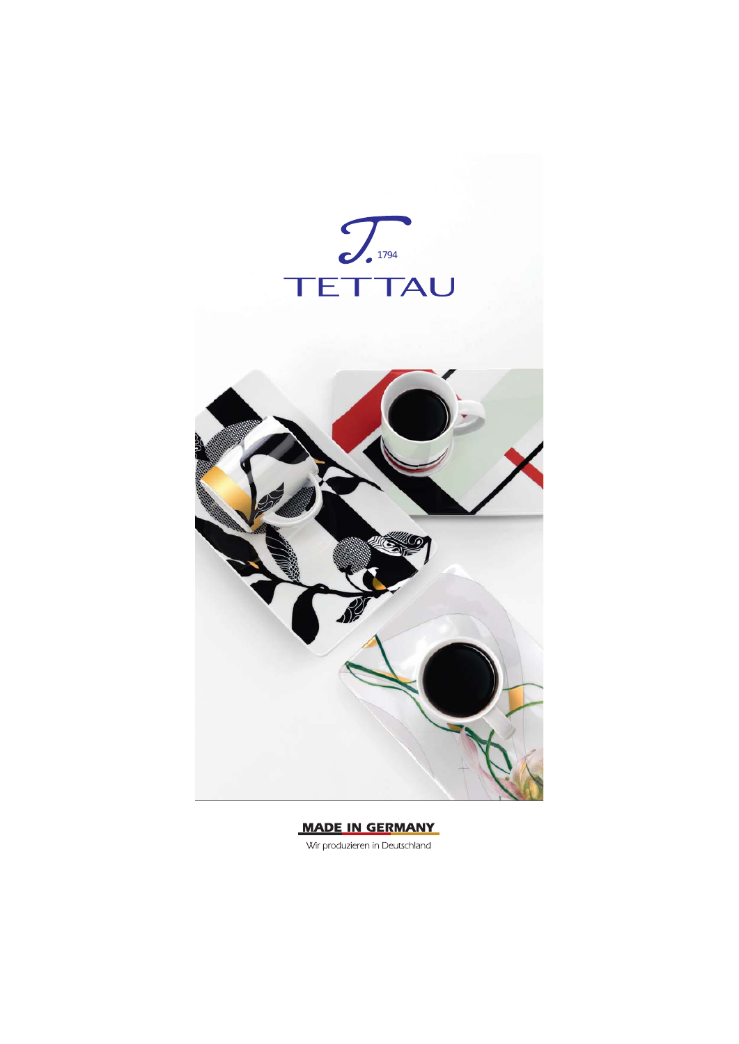





Wir produzieren in Deutschland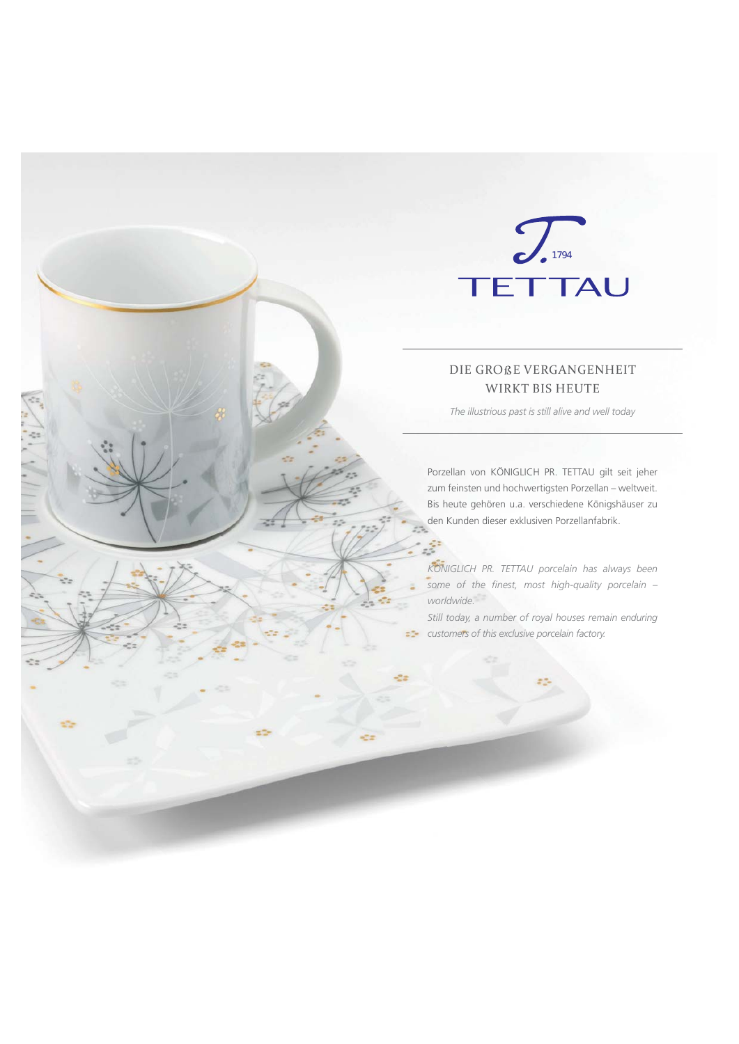# $\sum_{1794}$

#### DIE GROßE VERGANGENHEIT WIRKT BIS HEUTE

*The illustrious past is still alive and well today*

Porzellan von KÖNIGLICH PR. TETTAU gilt seit jeher zum feinsten und hochwertigsten Porzellan – weltweit. Bis heute gehören u.a. verschiedene Königshäuser zu den Kunden dieser exklusiven Porzellanfabrik.

*KÖNIGLICH PR. TETTAU porcelain has always been some of the finest, most high-quality porcelain – worldwide.* 

ç,

*Still today, a number of royal houses remain enduring customers of this exclusive porcelain factory.*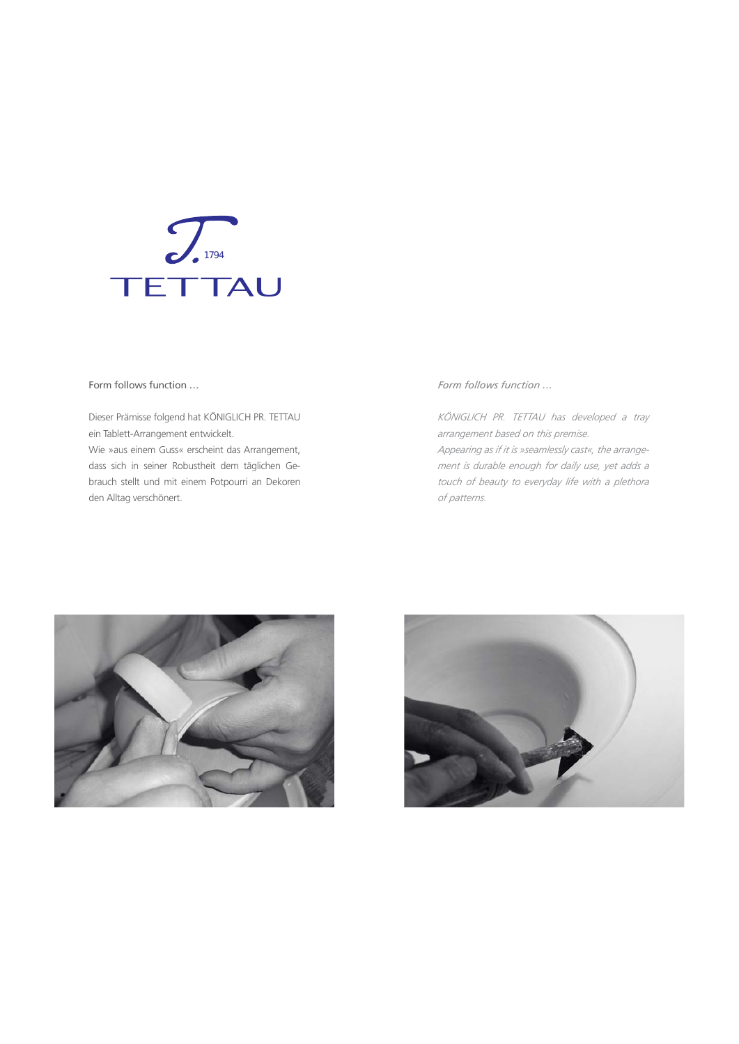

Form follows function …

Dieser Prämisse folgend hat KÖNIGLICH PR. TETTAU ein Tablett-Arrangement entwickelt. Wie »aus einem Guss« erscheint das Arrangement, dass sich in seiner Robustheit dem täglichen Gebrauch stellt und mit einem Potpourri an Dekoren den Alltag verschönert.

#### *Form follows function …*

*KÖNIGLICH PR. TETTAU has developed a tray arrangement based on this premise. Appearing as if it is »seamlessly cast«, the arrangement is durable enough for daily use, yet adds a touch of beauty to everyday life with a plethora of patterns.*



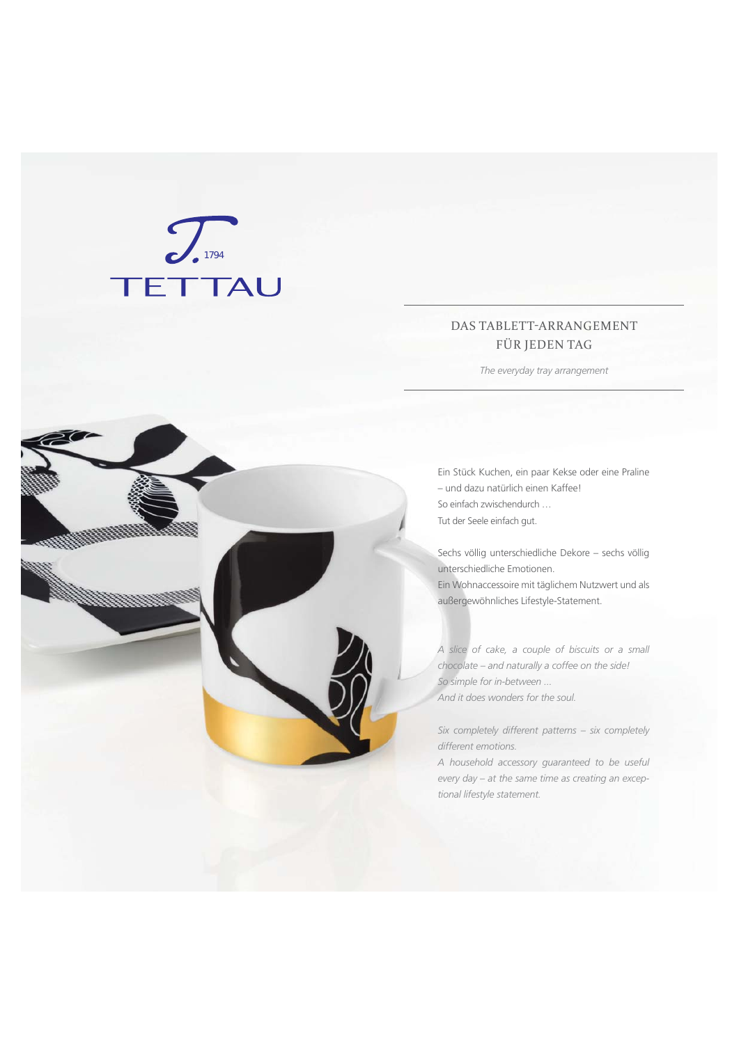# 1794 **TETTAU**

#### DAS TABLETT-ARRANGEMENT FÜR JEDEN TAG

*The everyday tray arrangement*

Ein Stück Kuchen, ein paar Kekse oder eine Praline – und dazu natürlich einen Kaffee! So einfach zwischendurch … Tut der Seele einfach gut.

Sechs völlig unterschiedliche Dekore – sechs völlig unterschiedliche Emotionen. Ein Wohnaccessoire mit täglichem Nutzwert und als außergewöhnliches Lifestyle-Statement.

*A slice of cake, a couple of biscuits or a small chocolate – and naturally a coffee on the side! So simple for in-between ... And it does wonders for the soul.*

*Six completely different patterns – six completely different emotions.*

*A household accessory guaranteed to be useful every day – at the same time as creating an exceptional lifestyle statement.*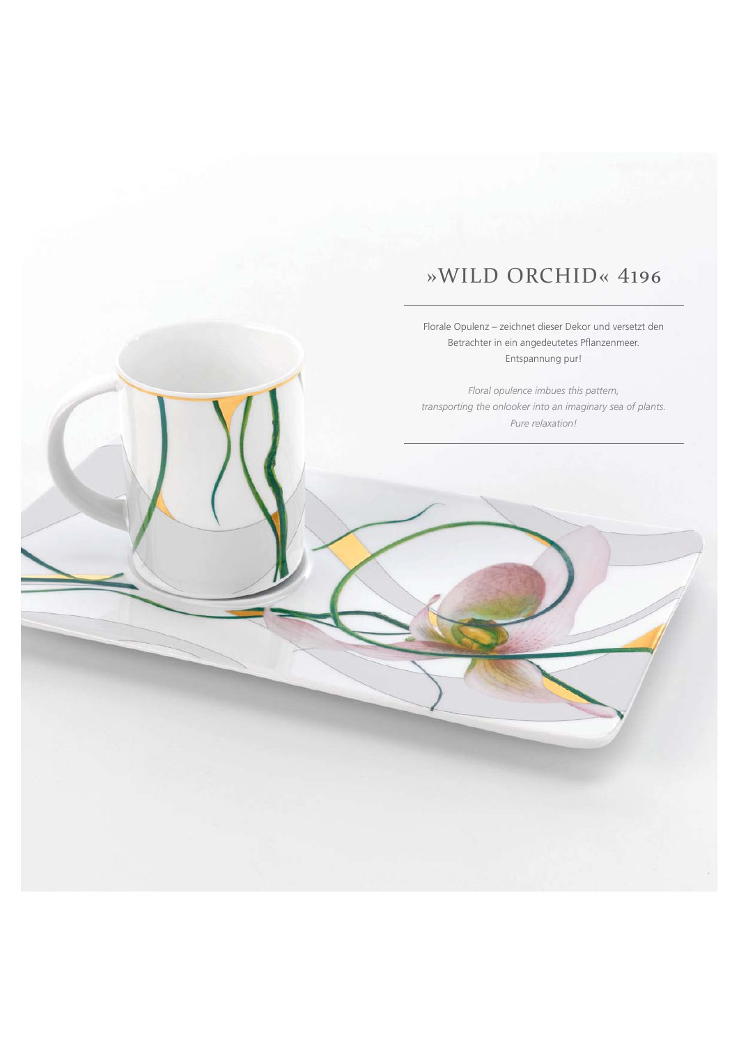## »WILD ORCHID« 4196

Florale Opulenz – zeichnet dieser Dekor und versetzt den Betrachter in ein angedeutetes Pflanzenmeer. Entspannung pur!

*Floral opulence imbues this pattern, transporting the onlooker into an imaginary sea of plants. Pure relaxation!*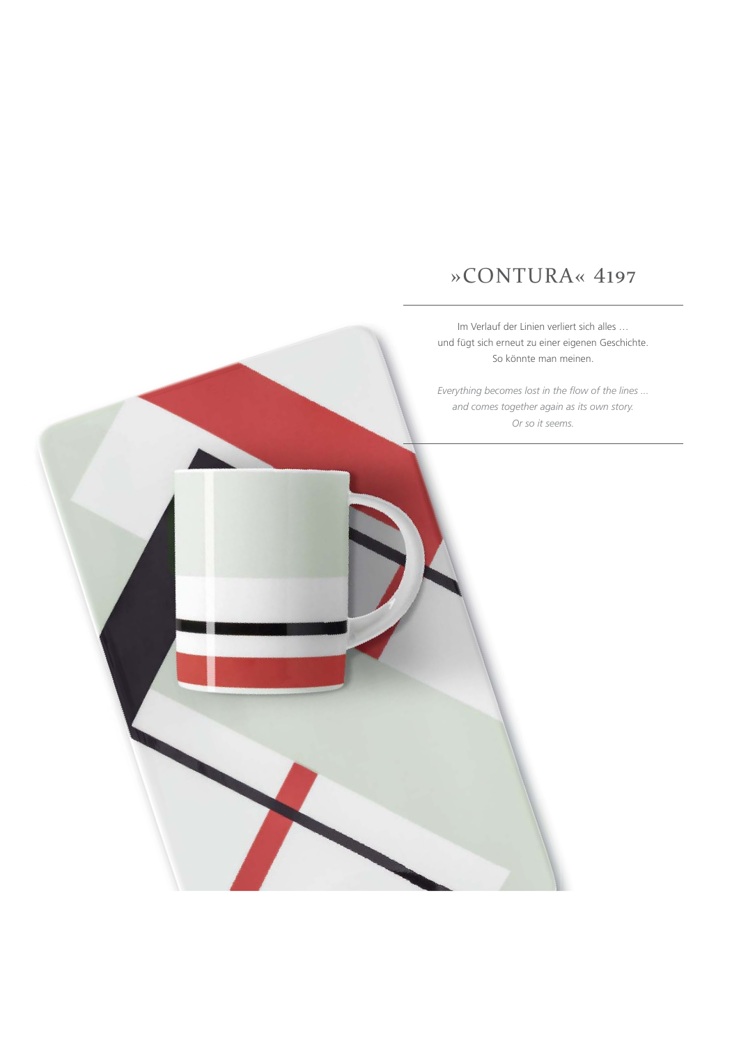### »CONTURA« 4197

Im Verlauf der Linien verliert sich alles … und fügt sich erneut zu einer eigenen Geschichte. So könnte man meinen.

*Everything becomes lost in the flow of the lines ... and comes together again as its own story. Or so it seems.*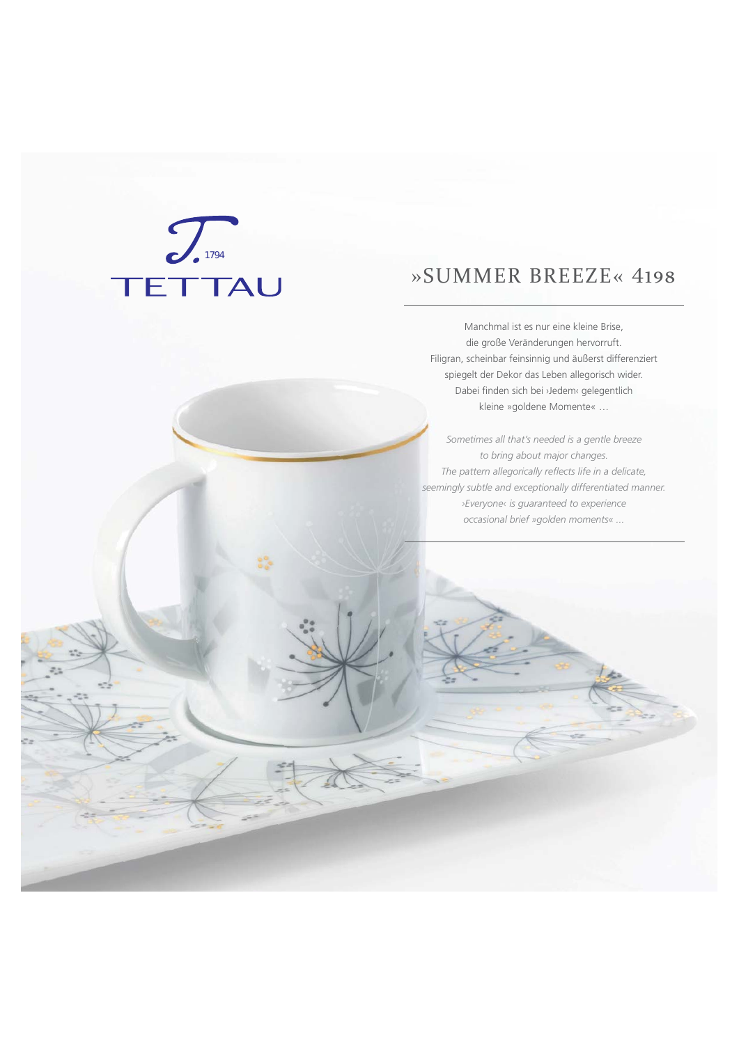# 1794 TETTAU

## »SUMMER BREEZE« 4198

Manchmal ist es nur eine kleine Brise, die große Veränderungen hervorruft. Filigran, scheinbar feinsinnig und äußerst differenziert spiegelt der Dekor das Leben allegorisch wider. Dabei finden sich bei ›Jedem‹ gelegentlich kleine »goldene Momente« …

*Sometimes all that's needed is a gentle breeze to bring about major changes. The pattern allegorically reflects life in a delicate, seemingly subtle and exceptionally differentiated manner. ›Everyone‹ is guaranteed to experience occasional brief »golden moments« ...*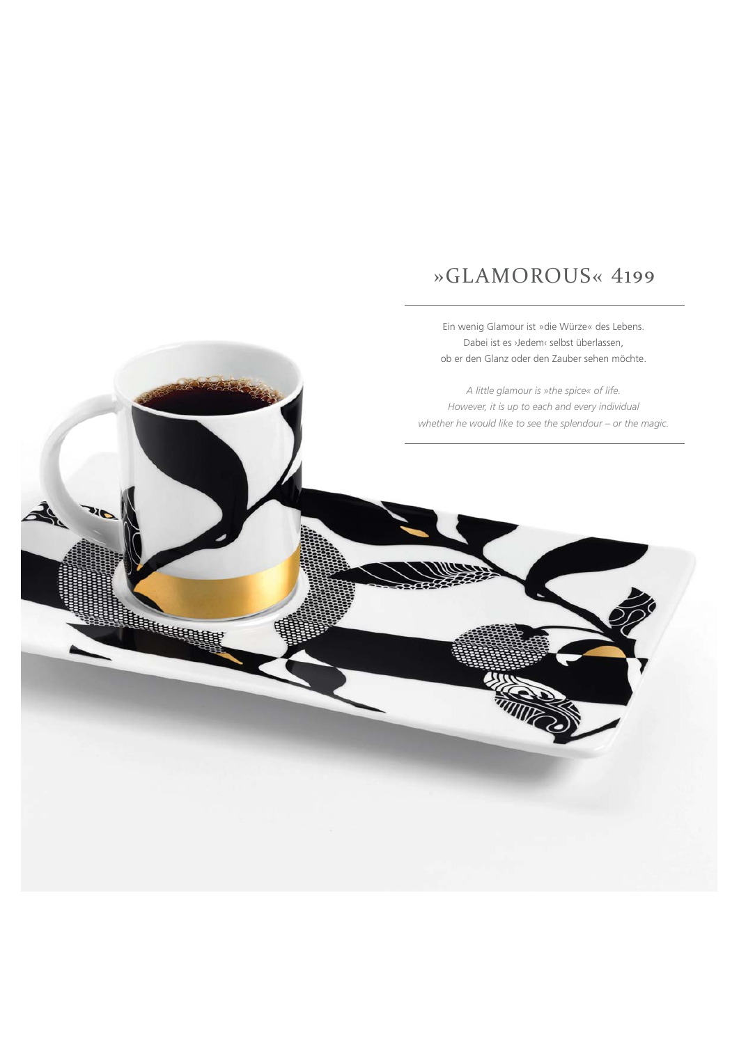#### » GLAMOROUS« 4199

Ein wenig Glamour ist »die Würze« des Lebens. Dabei ist es ›Jedem‹ selbst überlassen, ob er den Glanz oder den Zauber sehen möchte.

*A little glamour is »the spice« of life. However, it is up to each and every individual whether he would like to see the splendour – or the magic.*

**Report Follows**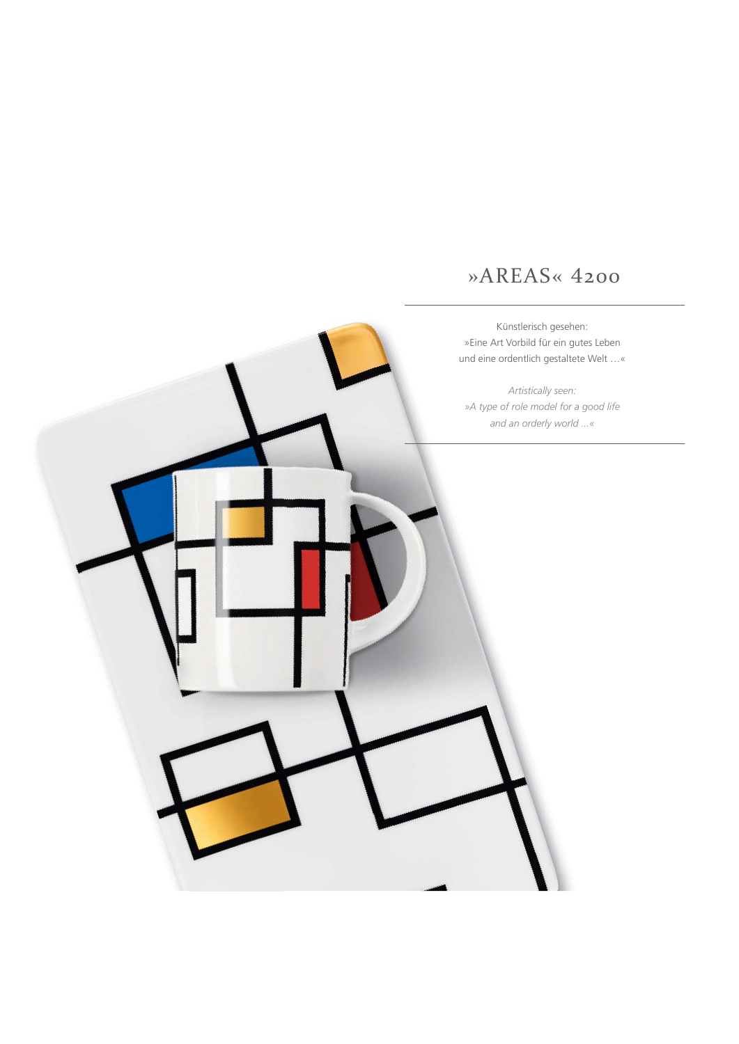### »AREAS« 4200

Künstlerisch gesehen: »Eine Art Vorbild für ein gutes Leben und eine ordentlich gestaltete Welt …«

*Artistically seen: »A type of role model for a good life and an orderly world ...«*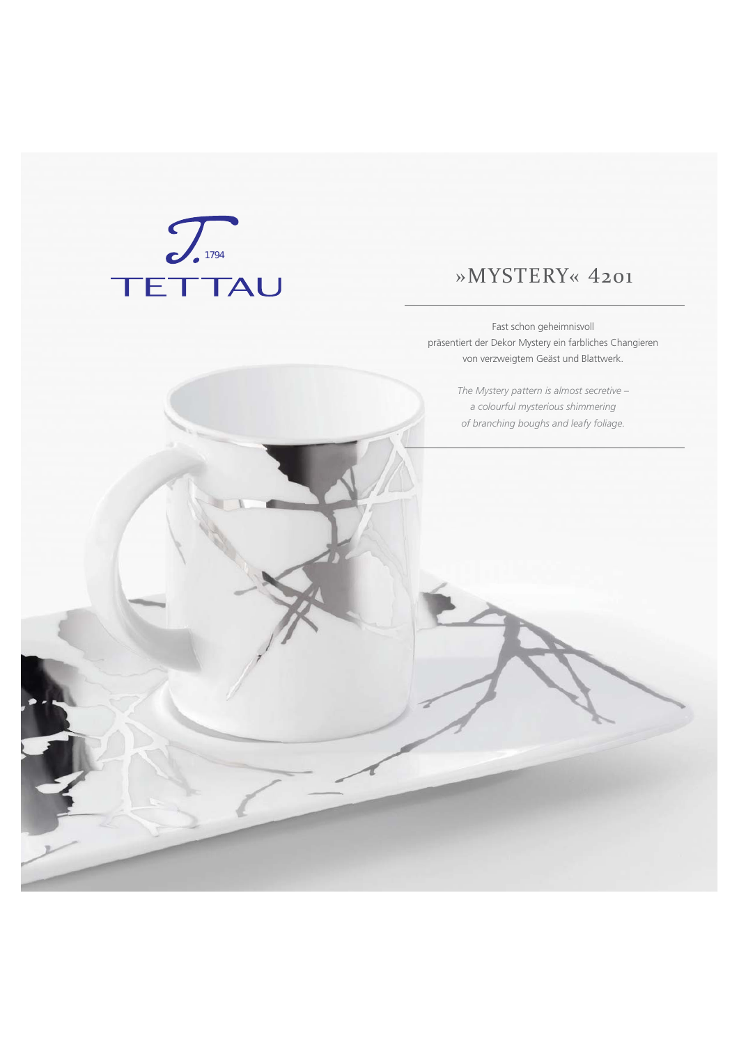# $\sum_{1794}$

### »MYSTERY« 4201

Fast schon geheimnisvoll präsentiert der Dekor Mystery ein farbliches Changieren von verzweigtem Geäst und Blattwerk.

> *The Mystery pattern is almost secretive – a colourful mysterious shimmering of branching boughs and leafy foliage.*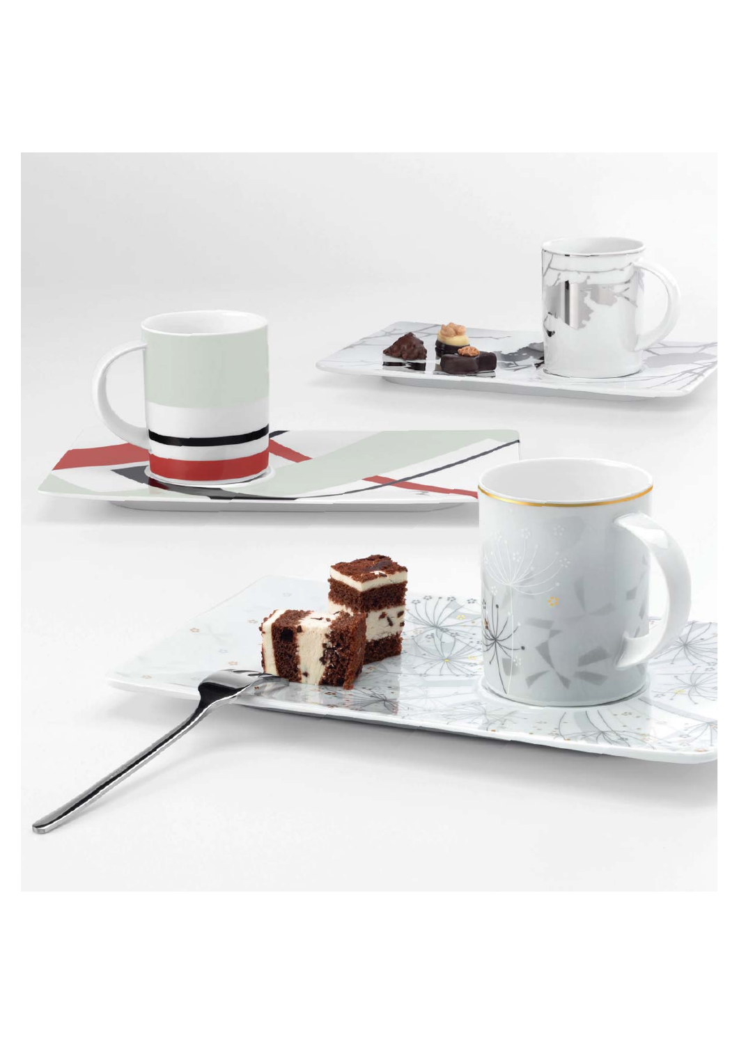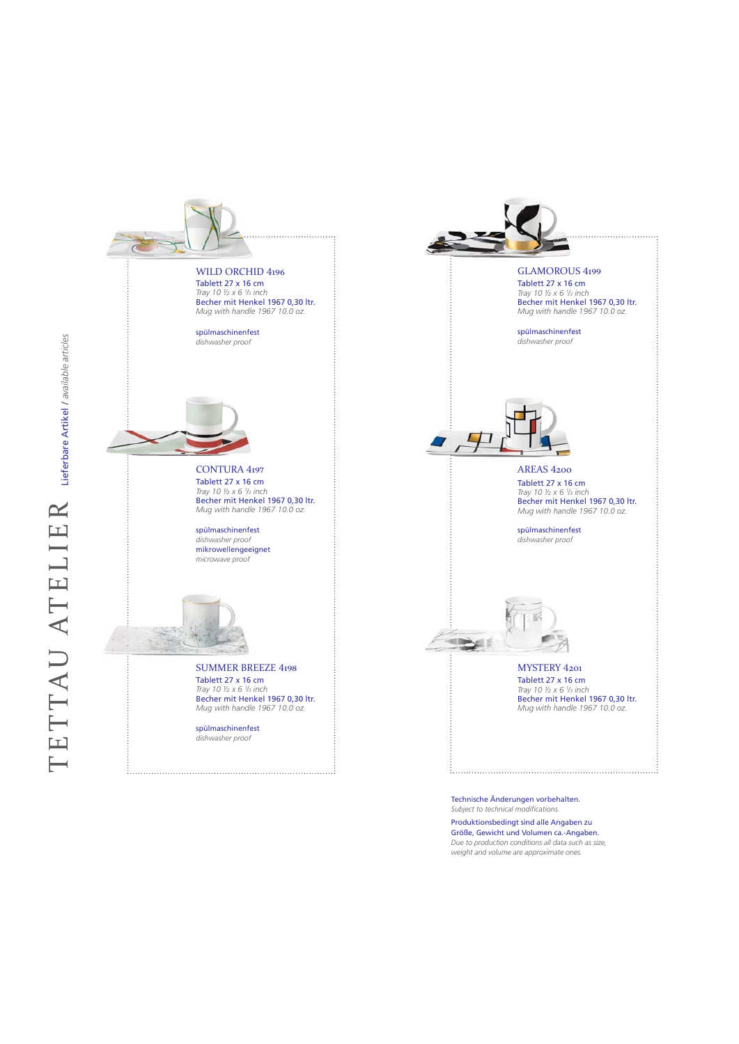

Produktionsbedingt sind alle Angaben zu Größe, Gewicht und Volumen ca.-Angaben. *Due to production conditions all data such as size, weight and volume are approximate ones.*